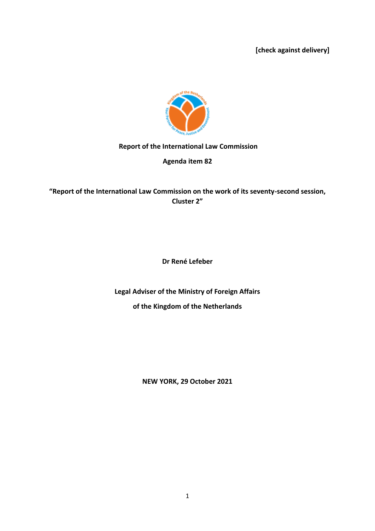**[check against delivery]**



#### **Report of the International Law Commission**

**Agenda item 82**

**"Report of the International Law Commission on the work of its seventy-second session, Cluster 2"**

**Dr René Lefeber**

**Legal Adviser of the Ministry of Foreign Affairs of the Kingdom of the Netherlands**

**NEW YORK, 29 October 2021**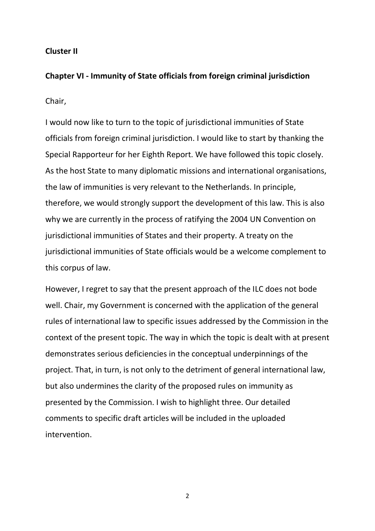# **Cluster II**

### **Chapter VI - Immunity of State officials from foreign criminal jurisdiction**

# Chair,

I would now like to turn to the topic of jurisdictional immunities of State officials from foreign criminal jurisdiction. I would like to start by thanking the Special Rapporteur for her Eighth Report. We have followed this topic closely. As the host State to many diplomatic missions and international organisations, the law of immunities is very relevant to the Netherlands. In principle, therefore, we would strongly support the development of this law. This is also why we are currently in the process of ratifying the 2004 UN Convention on jurisdictional immunities of States and their property. A treaty on the jurisdictional immunities of State officials would be a welcome complement to this corpus of law.

However, I regret to say that the present approach of the ILC does not bode well. Chair, my Government is concerned with the application of the general rules of international law to specific issues addressed by the Commission in the context of the present topic. The way in which the topic is dealt with at present demonstrates serious deficiencies in the conceptual underpinnings of the project. That, in turn, is not only to the detriment of general international law, but also undermines the clarity of the proposed rules on immunity as presented by the Commission. I wish to highlight three. Our detailed comments to specific draft articles will be included in the uploaded intervention.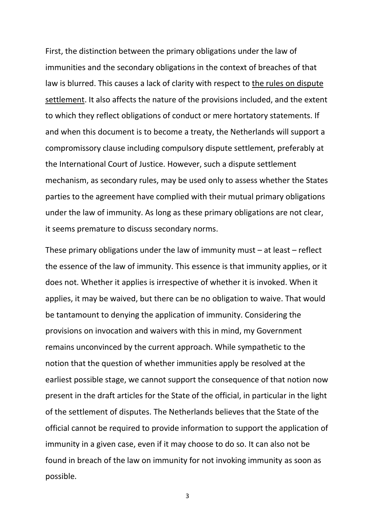First, the distinction between the primary obligations under the law of immunities and the secondary obligations in the context of breaches of that law is blurred. This causes a lack of clarity with respect to the rules on dispute settlement. It also affects the nature of the provisions included, and the extent to which they reflect obligations of conduct or mere hortatory statements. If and when this document is to become a treaty, the Netherlands will support a compromissory clause including compulsory dispute settlement, preferably at the International Court of Justice. However, such a dispute settlement mechanism, as secondary rules, may be used only to assess whether the States parties to the agreement have complied with their mutual primary obligations under the law of immunity. As long as these primary obligations are not clear, it seems premature to discuss secondary norms.

These primary obligations under the law of immunity must – at least – reflect the essence of the law of immunity. This essence is that immunity applies, or it does not. Whether it applies is irrespective of whether it is invoked. When it applies, it may be waived, but there can be no obligation to waive. That would be tantamount to denying the application of immunity. Considering the provisions on invocation and waivers with this in mind, my Government remains unconvinced by the current approach. While sympathetic to the notion that the question of whether immunities apply be resolved at the earliest possible stage, we cannot support the consequence of that notion now present in the draft articles for the State of the official, in particular in the light of the settlement of disputes. The Netherlands believes that the State of the official cannot be required to provide information to support the application of immunity in a given case, even if it may choose to do so. It can also not be found in breach of the law on immunity for not invoking immunity as soon as possible.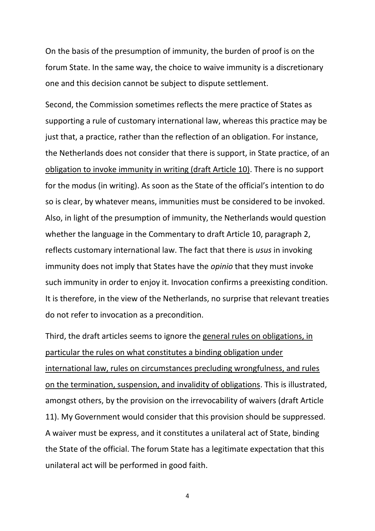On the basis of the presumption of immunity, the burden of proof is on the forum State. In the same way, the choice to waive immunity is a discretionary one and this decision cannot be subject to dispute settlement.

Second, the Commission sometimes reflects the mere practice of States as supporting a rule of customary international law, whereas this practice may be just that, a practice, rather than the reflection of an obligation. For instance, the Netherlands does not consider that there is support, in State practice, of an obligation to invoke immunity in writing (draft Article 10). There is no support for the modus (in writing). As soon as the State of the official's intention to do so is clear, by whatever means, immunities must be considered to be invoked. Also, in light of the presumption of immunity, the Netherlands would question whether the language in the Commentary to draft Article 10, paragraph 2, reflects customary international law. The fact that there is *usus* in invoking immunity does not imply that States have the *opinio* that they must invoke such immunity in order to enjoy it. Invocation confirms a preexisting condition. It is therefore, in the view of the Netherlands, no surprise that relevant treaties do not refer to invocation as a precondition.

Third, the draft articles seems to ignore the general rules on obligations, in particular the rules on what constitutes a binding obligation under international law, rules on circumstances precluding wrongfulness, and rules on the termination, suspension, and invalidity of obligations. This is illustrated, amongst others, by the provision on the irrevocability of waivers (draft Article 11). My Government would consider that this provision should be suppressed. A waiver must be express, and it constitutes a unilateral act of State, binding the State of the official. The forum State has a legitimate expectation that this unilateral act will be performed in good faith.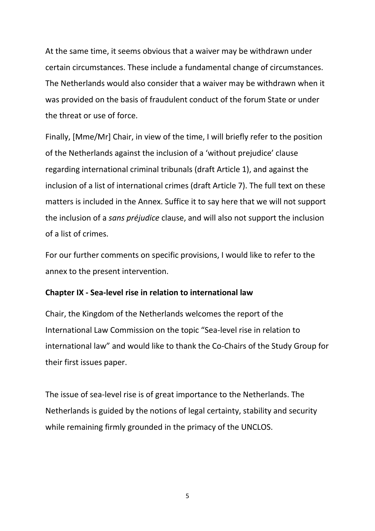At the same time, it seems obvious that a waiver may be withdrawn under certain circumstances. These include a fundamental change of circumstances. The Netherlands would also consider that a waiver may be withdrawn when it was provided on the basis of fraudulent conduct of the forum State or under the threat or use of force.

Finally, [Mme/Mr] Chair, in view of the time, I will briefly refer to the position of the Netherlands against the inclusion of a 'without prejudice' clause regarding international criminal tribunals (draft Article 1), and against the inclusion of a list of international crimes (draft Article 7). The full text on these matters is included in the Annex. Suffice it to say here that we will not support the inclusion of a *sans préjudice* clause, and will also not support the inclusion of a list of crimes.

For our further comments on specific provisions, I would like to refer to the annex to the present intervention.

# **Chapter IX - Sea-level rise in relation to international law**

Chair, the Kingdom of the Netherlands welcomes the report of the International Law Commission on the topic "Sea-level rise in relation to international law" and would like to thank the Co-Chairs of the Study Group for their first issues paper.

The issue of sea-level rise is of great importance to the Netherlands. The Netherlands is guided by the notions of legal certainty, stability and security while remaining firmly grounded in the primacy of the UNCLOS.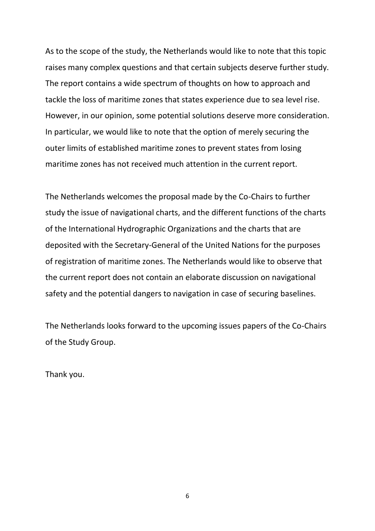As to the scope of the study, the Netherlands would like to note that this topic raises many complex questions and that certain subjects deserve further study. The report contains a wide spectrum of thoughts on how to approach and tackle the loss of maritime zones that states experience due to sea level rise. However, in our opinion, some potential solutions deserve more consideration. In particular, we would like to note that the option of merely securing the outer limits of established maritime zones to prevent states from losing maritime zones has not received much attention in the current report.

The Netherlands welcomes the proposal made by the Co-Chairs to further study the issue of navigational charts, and the different functions of the charts of the International Hydrographic Organizations and the charts that are deposited with the Secretary-General of the United Nations for the purposes of registration of maritime zones. The Netherlands would like to observe that the current report does not contain an elaborate discussion on navigational safety and the potential dangers to navigation in case of securing baselines.

The Netherlands looks forward to the upcoming issues papers of the Co-Chairs of the Study Group.

Thank you.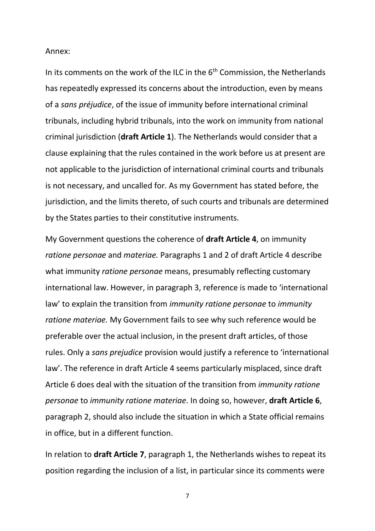#### Annex:

In its comments on the work of the ILC in the  $6<sup>th</sup>$  Commission, the Netherlands has repeatedly expressed its concerns about the introduction, even by means of a *sans préjudice*, of the issue of immunity before international criminal tribunals, including hybrid tribunals, into the work on immunity from national criminal jurisdiction (**draft Article 1**). The Netherlands would consider that a clause explaining that the rules contained in the work before us at present are not applicable to the jurisdiction of international criminal courts and tribunals is not necessary, and uncalled for. As my Government has stated before, the jurisdiction, and the limits thereto, of such courts and tribunals are determined by the States parties to their constitutive instruments.

My Government questions the coherence of **draft Article 4**, on immunity *ratione personae* and *materiae.* Paragraphs 1 and 2 of draft Article 4 describe what immunity *ratione personae* means, presumably reflecting customary international law. However, in paragraph 3, reference is made to 'international law' to explain the transition from *immunity ratione personae* to *immunity ratione materiae.* My Government fails to see why such reference would be preferable over the actual inclusion, in the present draft articles, of those rules. Only a *sans prejudice* provision would justify a reference to 'international law'. The reference in draft Article 4 seems particularly misplaced, since draft Article 6 does deal with the situation of the transition from *immunity ratione personae* to *immunity ratione materiae*. In doing so, however, **draft Article 6**, paragraph 2, should also include the situation in which a State official remains in office, but in a different function.

In relation to **draft Article 7**, paragraph 1, the Netherlands wishes to repeat its position regarding the inclusion of a list, in particular since its comments were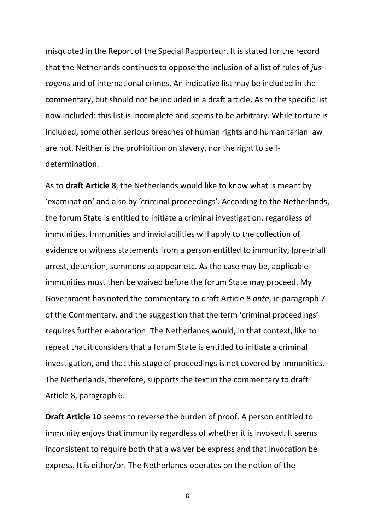misquoted in the Report of the Special Rapporteur. It is stated for the record that the Netherlands continues to oppose the inclusion of a list of rules of *jus cogens* and of international crimes. An indicative list may be included in the commentary, but should not be included in a draft article. As to the specific list now included: this list is incomplete and seems to be arbitrary. While torture is included, some other serious breaches of human rights and humanitarian law are not. Neither is the prohibition on slavery, nor the right to selfdetermination.

As to **draft Article 8**, the Netherlands would like to know what is meant by 'examination' and also by 'criminal proceedings'. According to the Netherlands, the forum State is entitled to initiate a criminal investigation, regardless of immunities. Immunities and inviolabilities will apply to the collection of evidence or witness statements from a person entitled to immunity, (pre-trial) arrest, detention, summons to appear etc. As the case may be, applicable immunities must then be waived before the forum State may proceed. My Government has noted the commentary to draft Article 8 *ante*, in paragraph 7 of the Commentary, and the suggestion that the term 'criminal proceedings' requires further elaboration. The Netherlands would, in that context, like to repeat that it considers that a forum State is entitled to initiate a criminal investigation, and that this stage of proceedings is not covered by immunities. The Netherlands, therefore, supports the text in the commentary to draft Article 8, paragraph 6.

**Draft Article 10** seems to reverse the burden of proof. A person entitled to immunity enjoys that immunity regardless of whether it is invoked. It seems inconsistent to require both that a waiver be express and that invocation be express. It is either/or. The Netherlands operates on the notion of the